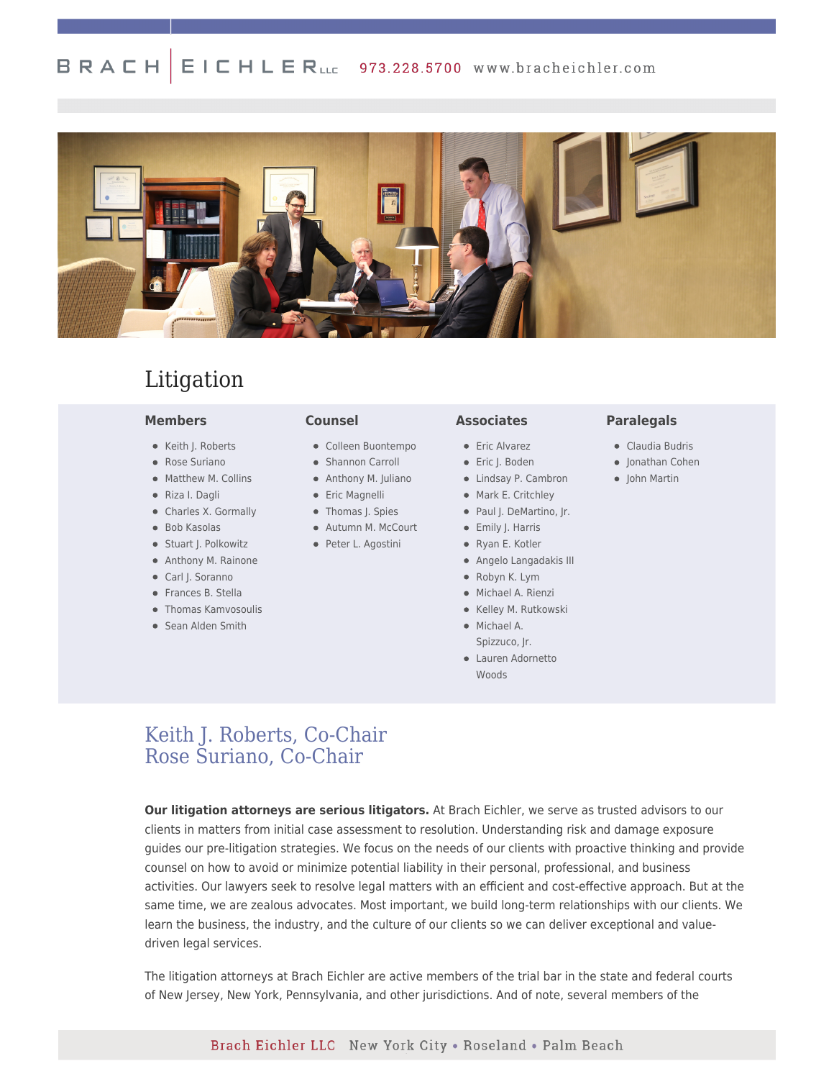#### BRACH  $E \perp C$   $H \perp E$   $R$ <sub>LLC</sub> 973.228.5700 www.bracheichler.com



# Litigation

### **Members**

- Keith J. Roberts
- Rose Suriano
- Matthew M. Collins
- Riza I. Dagli
- Charles X. Gormally
- Bob Kasolas
- Stuart J. Polkowitz
- Anthony M. Rainone
- Carl J. Soranno
- Frances B. Stella
- Thomas Kamvosoulis
- Sean Alden Smith

### **Counsel**

- Colleen Buontempo
- Shannon Carroll
- Anthony M. Juliano
- **•** Eric Magnelli
- Thomas J. Spies
	- Autumn M. McCourt
- Peter L. Agostini

### **Associates**

- **•** Eric Alvarez
- Eric J. Boden
- Lindsay P. Cambron
- Mark E. Critchley
	- Paul J. DeMartino, Jr.
	- Emily J. Harris
	- Ryan E. Kotler
	- Angelo Langadakis III
	- Robyn K. Lym
	- Michael A. Rienzi
	- Kelley M. Rutkowski
	- Michael A.
	- Lauren Adornetto Woods

### **Paralegals**

- Claudia Budris
- Jonathan Cohen
- John Martin
- 
- 
- 
- 
- 
- Spizzuco, Jr.
- 

## [Keith J. Roberts, Co-Chair](https://www.bracheichler.com/professionals/keith-j-roberts/) [Rose Suriano, Co-Chair](https://www.bracheichler.com/professionals/rosaria-a-suriano/)

**Our litigation attorneys are serious litigators.** At Brach Eichler, we serve as trusted advisors to our clients in matters from initial case assessment to resolution. Understanding risk and damage exposure guides our pre-litigation strategies. We focus on the needs of our clients with proactive thinking and provide counsel on how to avoid or minimize potential liability in their personal, professional, and business activities. Our lawyers seek to resolve legal matters with an efficient and cost-effective approach. But at the same time, we are zealous advocates. Most important, we build long-term relationships with our clients. We learn the business, the industry, and the culture of our clients so we can deliver exceptional and valuedriven legal services.

The litigation attorneys at Brach Eichler are active members of the trial bar in the state and federal courts of New Jersey, New York, Pennsylvania, and other jurisdictions. And of note, several members of the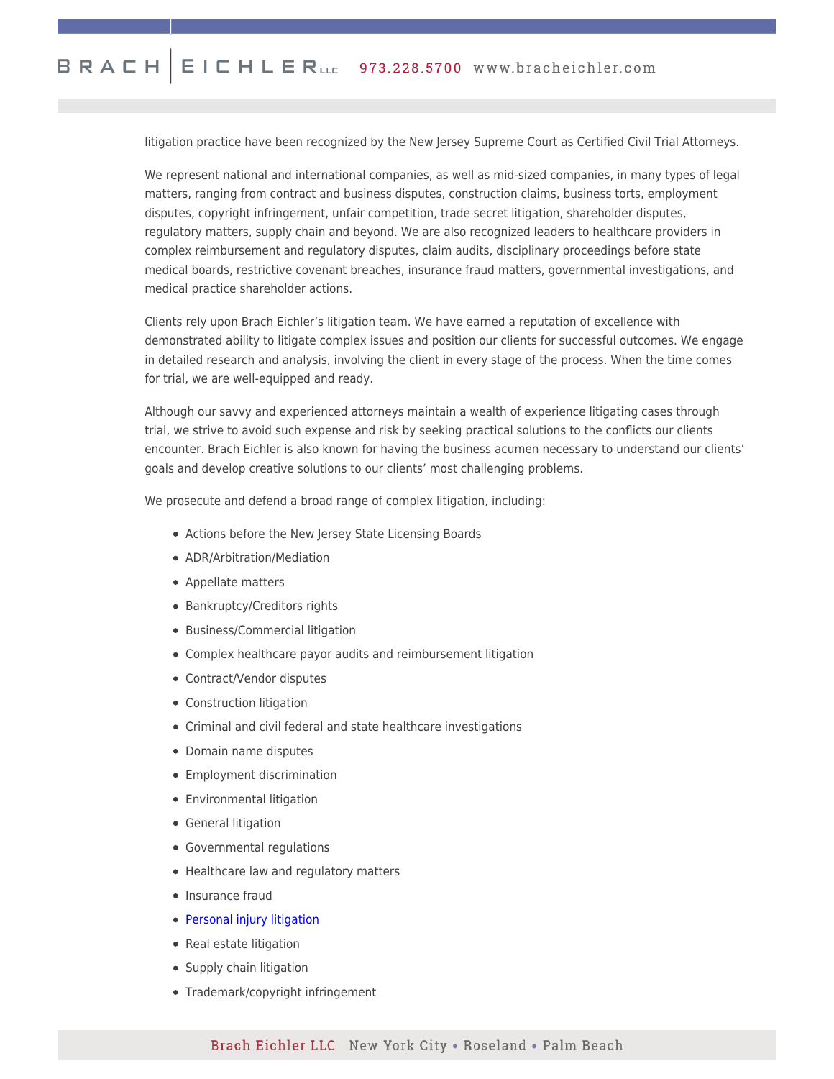litigation practice have been recognized by the New Jersey Supreme Court as Certified Civil Trial Attorneys.

We represent national and international companies, as well as mid-sized companies, in many types of legal matters, ranging from contract and business disputes, construction claims, business torts, employment disputes, copyright infringement, unfair competition, trade secret litigation, shareholder disputes, regulatory matters, supply chain and beyond. We are also recognized leaders to healthcare providers in complex reimbursement and regulatory disputes, claim audits, disciplinary proceedings before state medical boards, restrictive covenant breaches, insurance fraud matters, governmental investigations, and medical practice shareholder actions.

Clients rely upon Brach Eichler's litigation team. We have earned a reputation of excellence with demonstrated ability to litigate complex issues and position our clients for successful outcomes. We engage in detailed research and analysis, involving the client in every stage of the process. When the time comes for trial, we are well-equipped and ready.

Although our savvy and experienced attorneys maintain a wealth of experience litigating cases through trial, we strive to avoid such expense and risk by seeking practical solutions to the conflicts our clients encounter. Brach Eichler is also known for having the business acumen necessary to understand our clients' goals and develop creative solutions to our clients' most challenging problems.

We prosecute and defend a broad range of complex litigation, including:

- Actions before the New Jersey State Licensing Boards
- ADR/Arbitration/Mediation
- Appellate matters
- Bankruptcy/Creditors rights
- Business/Commercial litigation
- Complex healthcare payor audits and reimbursement litigation
- Contract/Vendor disputes
- Construction litigation
- Criminal and civil federal and state healthcare investigations
- Domain name disputes
- Employment discrimination
- Environmental litigation
- General litigation
- Governmental regulations
- Healthcare law and regulatory matters
- Insurance fraud
- [Personal injury litigation](https://www.njlawresults.com/)
- Real estate litigation
- Supply chain litigation
- Trademark/copyright infringement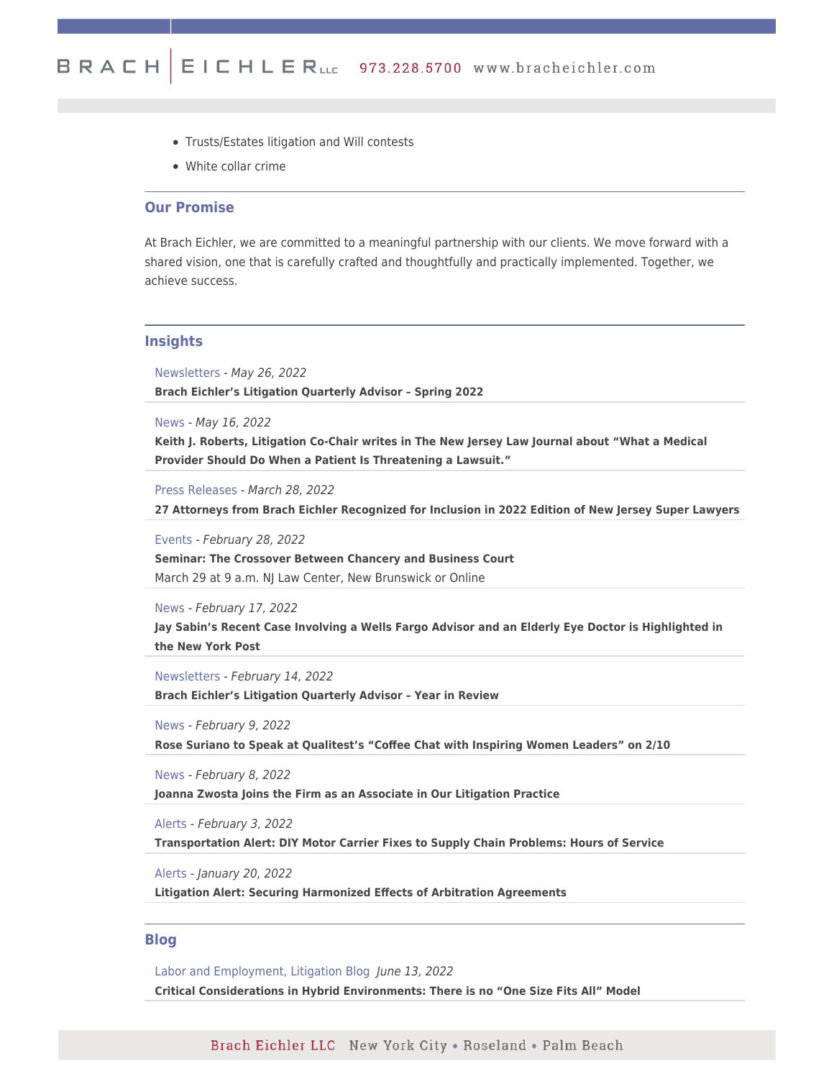- Trusts/Estates litigation and Will contests
- White collar crime

## **Our Promise**

At Brach Eichler, we are committed to a meaningful partnership with our clients. We move forward with a shared vision, one that is carefully crafted and thoughtfully and practically implemented. Together, we achieve success.

### **Insights**

Newsletters - May 26, 2022

**[Brach Eichler's Litigation Quarterly Advisor – Spring 2022](https://www.bracheichler.com/litigation-quarterly-advisor-spring-2022/)**

News - May 16, 2022

**[Keith J. Roberts, Litigation Co-Chair writes in The New Jersey Law Journal about "What a Medical](https://www.law.com/njlawjournal/2022/05/06/what-a-medical-provider-should-do-when-a-patient-is-threatening-a-lawsuit/) [Provider Should Do When a Patient Is Threatening a Lawsuit."](https://www.law.com/njlawjournal/2022/05/06/what-a-medical-provider-should-do-when-a-patient-is-threatening-a-lawsuit/)**

Press Releases - March 28, 2022

**[27 Attorneys from Brach Eichler Recognized for Inclusion in 2022 Edition of New Jersey Super Lawyers](https://www.bracheichler.com/insights/27-attorneys-from-brach-eichler-recognized-for-inclusion-in-2022-edition-of-new-jersey-super-lawyers/)**

Events - February 28, 2022

**[Seminar: The Crossover Between Chancery and Business Court](https://www.bracheichler.com/insights/seminar-the-crossover-between-chancery-and-business-court/)** March 29 at 9 a.m. NJ Law Center, New Brunswick or Online

News - February 17, 2022

**[Jay Sabin's Recent Case Involving a Wells Fargo Advisor and an Elderly Eye Doctor is Highlighted in](https://nypost.com/2022/02/12/wells-fargo-advisor-accused-of-ripping-of-elderly-eye-doc/) [the New York Post](https://nypost.com/2022/02/12/wells-fargo-advisor-accused-of-ripping-of-elderly-eye-doc/)**

Newsletters - February 14, 2022 **[Brach Eichler's Litigation Quarterly Advisor – Year in Review](https://www.bracheichler.com/wp-content/uploads/2022/02/Quarterly-Advisor-Issue-4-2021.pdf)**

News - February 9, 2022

**[Rose Suriano to Speak at Qualitest's "Coffee Chat with Inspiring Women Leaders" on 2/10](https://www.bracheichler.com/professionals/rosaria-a-suriano/)**

News - February 8, 2022

**[Joanna Zwosta Joins the Firm as an Associate in Our Litigation Practice](https://www.bracheichler.com/professionals/joanna-zwosta/)**

Alerts - February 3, 2022

**[Transportation Alert: DIY Motor Carrier Fixes to Supply Chain Problems: Hours of Service](https://www.bracheichler.com/insights/transportation-alert-diy-motor-carrier-fixes-to-supply-chain-problems-hours-of-service/)**

Alerts - January 20, 2022

**[Litigation Alert: Securing Harmonized Effects of Arbitration Agreements](https://www.bracheichler.com/insights/litigation-alert-securing-harmonized-effects-of-arbitration-agreements/)**

### **Blog**

Labor and Employment, Litigation Blog June 13, 2022 **[Critical Considerations in Hybrid Environments: There is no "One Size Fits All" Model](https://www.bracheichler.com/insights/critical-considerations-in-hybrid-environments-there-is-no-one-size-fits-all-model/)**